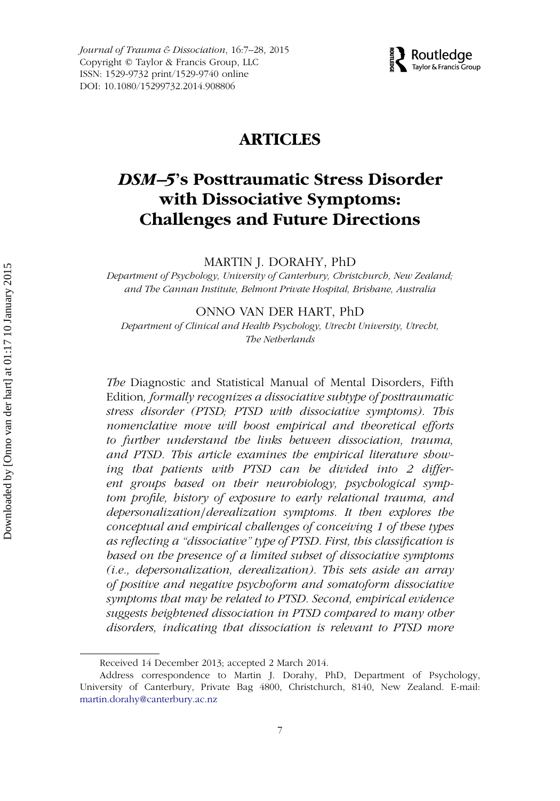*Journal of Trauma & Dissociation*, 16:7–28, 2015 Copyright © Taylor & Francis Group, LLC ISSN: 1529-9732 print/1529-9740 online DOI: 10.1080/15299732.2014.908806



## **ARTICLES**

# *DSM–5***'s Posttraumatic Stress Disorder with Dissociative Symptoms: Challenges and Future Directions**

MARTIN J. DORAHY, PhD

*Department of Psychology, University of Canterbury, Christchurch, New Zealand; and The Cannan Institute, Belmont Private Hospital, Brisbane, Australia*

#### ONNO VAN DER HART, PhD

*Department of Clinical and Health Psychology, Utrecht University, Utrecht, The Netherlands*

*The* Diagnostic and Statistical Manual of Mental Disorders, Fifth Edition*, formally recognizes a dissociative subtype of posttraumatic stress disorder (PTSD; PTSD with dissociative symptoms). This nomenclative move will boost empirical and theoretical efforts to further understand the links between dissociation, trauma, and PTSD. This article examines the empirical literature showing that patients with PTSD can be divided into 2 different groups based on their neurobiology, psychological symptom profile, history of exposure to early relational trauma, and depersonalization/derealization symptoms. It then explores the conceptual and empirical challenges of conceiving 1 of these types as reflecting a "dissociative" type of PTSD. First, this classification is based on the presence of a limited subset of dissociative symptoms (i.e., depersonalization, derealization). This sets aside an array of positive and negative psychoform and somatoform dissociative symptoms that may be related to PTSD. Second, empirical evidence suggests heightened dissociation in PTSD compared to many other disorders, indicating that dissociation is relevant to PTSD more*

Received 14 December 2013; accepted 2 March 2014.

Address correspondence to Martin J. Dorahy, PhD, Department of Psychology, University of Canterbury, Private Bag 4800, Christchurch, 8140, New Zealand. E-mail: [martin.dorahy@canterbury.ac.nz](mailto:martin.dorahy@canterbury.ac.nz)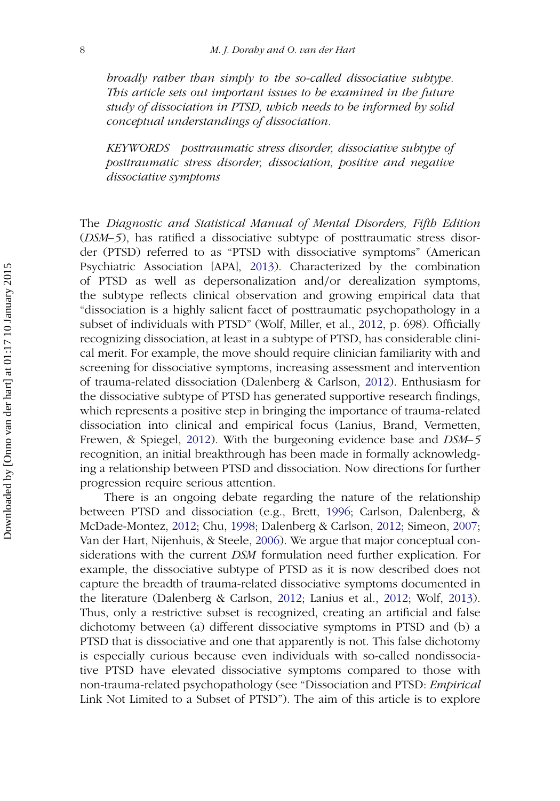*broadly rather than simply to the so-called dissociative subtype. This article sets out important issues to be examined in the future study of dissociation in PTSD, which needs to be informed by solid conceptual understandings of dissociation.*

*KEYWORDS posttraumatic stress disorder, dissociative subtype of posttraumatic stress disorder, dissociation, positive and negative dissociative symptoms*

The *Diagnostic and Statistical Manual of Mental Disorders, Fifth Edition* (*DSM–5*), has ratified a dissociative subtype of posttraumatic stress disorder (PTSD) referred to as "PTSD with dissociative symptoms" (American Psychiatric Association [APA], [2013\)](#page-17-0). Characterized by the combination of PTSD as well as depersonalization and*/*or derealization symptoms, the subtype reflects clinical observation and growing empirical data that "dissociation is a highly salient facet of posttraumatic psychopathology in a subset of individuals with PTSD" (Wolf, Miller, et al., [2012,](#page-21-0) p. 698). Officially recognizing dissociation, at least in a subtype of PTSD, has considerable clinical merit. For example, the move should require clinician familiarity with and screening for dissociative symptoms, increasing assessment and intervention of trauma-related dissociation (Dalenberg & Carlson, [2012\)](#page-18-0). Enthusiasm for the dissociative subtype of PTSD has generated supportive research findings, which represents a positive step in bringing the importance of trauma-related dissociation into clinical and empirical focus (Lanius, Brand, Vermetten, Frewen, & Spiegel, [2012\)](#page-19-0). With the burgeoning evidence base and *DSM–5* recognition, an initial breakthrough has been made in formally acknowledging a relationship between PTSD and dissociation. Now directions for further progression require serious attention.

There is an ongoing debate regarding the nature of the relationship between PTSD and dissociation (e.g., Brett, [1996;](#page-17-1) Carlson, Dalenberg, & McDade-Montez, [2012;](#page-18-1) Chu, [1998;](#page-18-2) Dalenberg & Carlson, [2012;](#page-18-0) Simeon, [2007;](#page-20-0) Van der Hart, Nijenhuis, & Steele, [2006\)](#page-21-1). We argue that major conceptual considerations with the current *DSM* formulation need further explication. For example, the dissociative subtype of PTSD as it is now described does not capture the breadth of trauma-related dissociative symptoms documented in the literature (Dalenberg & Carlson, [2012;](#page-18-0) Lanius et al., [2012;](#page-19-0) Wolf, [2013\)](#page-21-2). Thus, only a restrictive subset is recognized, creating an artificial and false dichotomy between (a) different dissociative symptoms in PTSD and (b) a PTSD that is dissociative and one that apparently is not. This false dichotomy is especially curious because even individuals with so-called nondissociative PTSD have elevated dissociative symptoms compared to those with non-trauma-related psychopathology (see "Dissociation and PTSD: *Empirical* Link Not Limited to a Subset of PTSD"). The aim of this article is to explore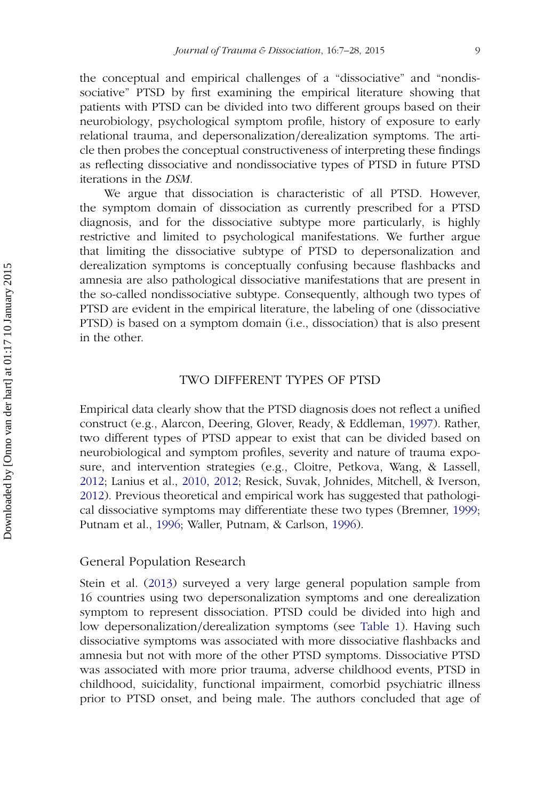the conceptual and empirical challenges of a "dissociative" and "nondissociative" PTSD by first examining the empirical literature showing that patients with PTSD can be divided into two different groups based on their neurobiology, psychological symptom profile, history of exposure to early relational trauma, and depersonalization*/*derealization symptoms. The article then probes the conceptual constructiveness of interpreting these findings as reflecting dissociative and nondissociative types of PTSD in future PTSD iterations in the *DSM.*

We argue that dissociation is characteristic of all PTSD. However, the symptom domain of dissociation as currently prescribed for a PTSD diagnosis, and for the dissociative subtype more particularly, is highly restrictive and limited to psychological manifestations. We further argue that limiting the dissociative subtype of PTSD to depersonalization and derealization symptoms is conceptually confusing because flashbacks and amnesia are also pathological dissociative manifestations that are present in the so-called nondissociative subtype. Consequently, although two types of PTSD are evident in the empirical literature, the labeling of one (dissociative PTSD) is based on a symptom domain (i.e., dissociation) that is also present in the other.

#### TWO DIFFERENT TYPES OF PTSD

Empirical data clearly show that the PTSD diagnosis does not reflect a unified construct (e.g., Alarcon, Deering, Glover, Ready, & Eddleman, [1997\)](#page-17-2). Rather, two different types of PTSD appear to exist that can be divided based on neurobiological and symptom profiles, severity and nature of trauma exposure, and intervention strategies (e.g., Cloitre, Petkova, Wang, & Lassell, [2012;](#page-18-3) Lanius et al., [2010,](#page-19-1) [2012;](#page-18-1) Resick, Suvak, Johnides, Mitchell, & Iverson, [2012\)](#page-20-1). Previous theoretical and empirical work has suggested that pathological dissociative symptoms may differentiate these two types (Bremner, [1999;](#page-17-3) Putnam et al., [1996;](#page-20-2) Waller, Putnam, & Carlson, [1996\)](#page-21-3).

#### General Population Research

Stein et al. [\(2013\)](#page-17-0) surveyed a very large general population sample from 16 countries using two depersonalization symptoms and one derealization symptom to represent dissociation. PTSD could be divided into high and low depersonalization*/*derealization symptoms (see [Table 1\)](#page-3-0). Having such dissociative symptoms was associated with more dissociative flashbacks and amnesia but not with more of the other PTSD symptoms. Dissociative PTSD was associated with more prior trauma, adverse childhood events, PTSD in childhood, suicidality, functional impairment, comorbid psychiatric illness prior to PTSD onset, and being male. The authors concluded that age of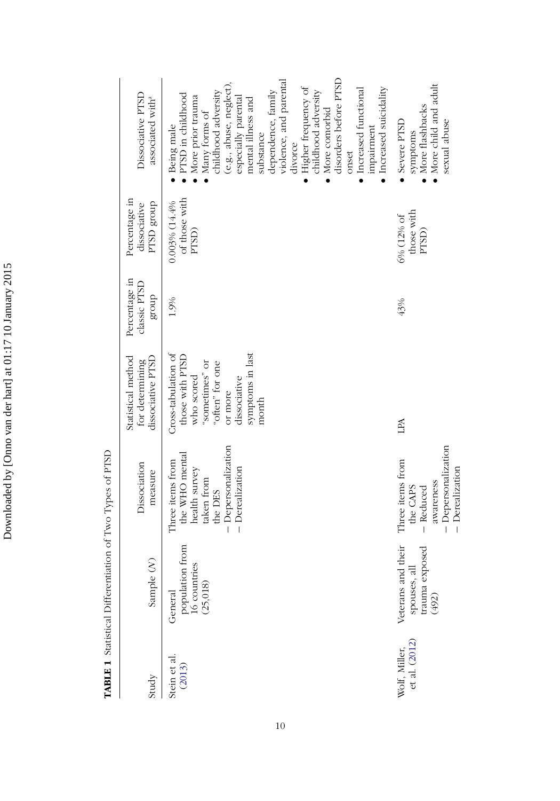| ֚֕֡                                                              |
|------------------------------------------------------------------|
|                                                                  |
|                                                                  |
| $\ddot{\phantom{0}}$                                             |
| ١                                                                |
| ĺ<br>i<br>֚֕֡<br>$\frac{1}{2}$                                   |
|                                                                  |
| $\frac{1}{2}$<br>֖֖ׅׅ֧ׅ֧ׅ֧֚֚֚֚֚֚֚֚֚֚֚֚֚֚֚֚֚֚֚֚֚֚֚֚֚֚֚֚֚֡֕֝֝֬֝֬֝֬ |
| l<br>(<br>I                                                      |
|                                                                  |
| i                                                                |
|                                                                  |
|                                                                  |
| ļ                                                                |
|                                                                  |

<span id="page-3-0"></span>TABLE 1 Statistical Differentiation of Two Types of PTSD **TABLE 1** Statistical Differentiation of Two Types of PTSD

 $\overline{\phantom{a}}$ 

| Dissociative PTSD<br>associated with <sup>a</sup>          | disorders before PTSD<br>violence, and parental<br>(e.g., abuse, neglect),<br>Higher frequency of<br>$\bullet$ Increased suicidality<br>• Increased functional<br>dependence, family<br>childhood adversity<br>childhood adversity<br>PTSD in childhood<br>More prior trauma<br>especially parental<br>mental illness and<br>More comorbid<br>Many forms of<br>Being male<br>impairment<br>substance<br>divorce<br>onset | More child and adult<br>More flashbacks<br>Severe PTSD<br>sexual abuse<br>symptoms                                  |
|------------------------------------------------------------|--------------------------------------------------------------------------------------------------------------------------------------------------------------------------------------------------------------------------------------------------------------------------------------------------------------------------------------------------------------------------------------------------------------------------|---------------------------------------------------------------------------------------------------------------------|
| Percentage in<br>dnor8 GSLd<br>dissociative                | of those with<br>0.003% (14.4%<br>PTSD)                                                                                                                                                                                                                                                                                                                                                                                  | those with<br>6% (12% of<br>PTSD)                                                                                   |
| Percentage in<br>classic PTSD<br>dnorg                     | 1.9%                                                                                                                                                                                                                                                                                                                                                                                                                     | 43%                                                                                                                 |
| Statistical method<br>dissociative PTSD<br>for determining | Cross-tabulation of<br>symptoms in last<br>those with PTSD<br>"sometimes" or<br>"often" for one<br>who scored<br>dissociative<br>or more<br>month                                                                                                                                                                                                                                                                        | LPA                                                                                                                 |
| Dissociation<br>measure                                    | - Depersonalization<br>the WHO menta<br>Three items from<br>- Derealization<br>health survey<br>taken from<br>the DES                                                                                                                                                                                                                                                                                                    | - Depersonalization<br>Three items from<br>- Derealization<br>awareness<br>the CAPS<br>$-$ Reduced                  |
| Sample (N)                                                 | population from<br>16 countries<br>(25,018)<br>General                                                                                                                                                                                                                                                                                                                                                                   | Veterans and their<br>$\begin{tabular}{c} s\texttt{pousses, all} \\ \texttt{trauma exposed} \\ (492) \end{tabular}$ |
| Study                                                      | Stein et al.<br>(2013)                                                                                                                                                                                                                                                                                                                                                                                                   | et al. (2012)<br>Wolf, Miller,                                                                                      |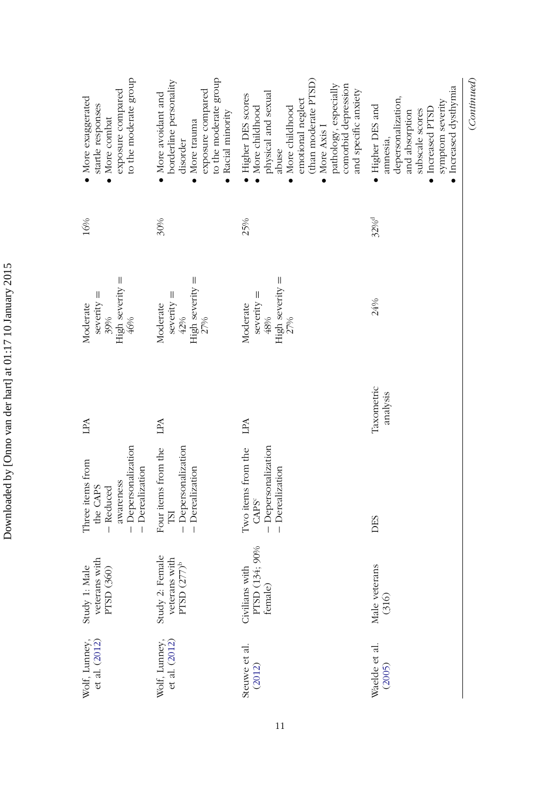| i<br>I<br>I<br>֪ׅ֡֝֬֝֝֬֝֝֟֝֬֝֬֝֝ <b>֟</b><br>I<br>is a signal<br>י אחיי הייחי<br>֠<br>֚<br>l<br>ι<br>I<br>ı<br>;<br>ļ | Ì<br>ኄ<br>J |
|-----------------------------------------------------------------------------------------------------------------------|-------------|
|                                                                                                                       |             |
|                                                                                                                       |             |
|                                                                                                                       |             |
|                                                                                                                       |             |
|                                                                                                                       |             |
|                                                                                                                       |             |
|                                                                                                                       |             |
|                                                                                                                       |             |
|                                                                                                                       |             |
|                                                                                                                       |             |
|                                                                                                                       |             |
|                                                                                                                       | ׇ֚֚֡֬<br>ļ  |

| to the moderate group<br>exposure compared<br>• More exaggerated<br>startle responses<br>More combat<br>$\bullet$ | to the moderate group<br>borderline personality<br>exposure compared<br>More avoidant and<br>Racial minority<br>More trauma<br>disorder<br>$\bullet$<br>$\bullet$ | (than moderate PTSD)<br>pathology, especially<br>comorbid depression<br>and specific anxiety<br>physical and sexual<br>Higher DES scores<br>emotional neglect<br>More childhood<br>More childhood<br>More Axis I<br>abuse<br>$\bullet$<br>$\bullet$ | (Continued)<br>· Increased dysthymia<br>depersonalization,<br>symptom severity<br>• Higher DES and<br>• Increased PTSD<br>subscale scores<br>and absorption<br>annesia, |
|-------------------------------------------------------------------------------------------------------------------|-------------------------------------------------------------------------------------------------------------------------------------------------------------------|-----------------------------------------------------------------------------------------------------------------------------------------------------------------------------------------------------------------------------------------------------|-------------------------------------------------------------------------------------------------------------------------------------------------------------------------|
| 16%                                                                                                               | 30%                                                                                                                                                               | 25%                                                                                                                                                                                                                                                 | 32% <sup>d</sup>                                                                                                                                                        |
| High severity $=$<br>$\parallel$<br>severity<br>Moderate<br>39%<br>46%                                            | $High$ severity $=$<br>$seveity =$<br>Moderate<br>42%<br>27%                                                                                                      | $High$ severity $=$<br>$s$ everity $=$<br>Moderate<br>48%<br>27%                                                                                                                                                                                    | 24%                                                                                                                                                                     |
| LPA                                                                                                               | LPA                                                                                                                                                               | LPA                                                                                                                                                                                                                                                 | Taxometric<br>analysis                                                                                                                                                  |
| - Depersonalization<br>Three items from<br>- Derealization<br>awareness<br>the CAPS<br>- Reduced                  | Four items from the<br>- Depersonalization<br>- Derealization<br><b>ISI</b>                                                                                       | - Depersonalization<br>Two items from the<br>- Derealization<br>CAPS <sup>c</sup>                                                                                                                                                                   | DES                                                                                                                                                                     |
| veterans with<br>Study 1: Male<br>PTSD (360)                                                                      | Study 2: Female<br>veterans with<br>PTSD $(277)^b$                                                                                                                | Civilians with<br>PTSD (134; 90%<br>female)                                                                                                                                                                                                         | Male veterans<br>(316)                                                                                                                                                  |
| Wolf, Lunney,<br>et al. (2012)                                                                                    | Wolf, Lunney,<br>et al. (2012)                                                                                                                                    | Steuwe et al.<br>(2012)                                                                                                                                                                                                                             | Waelde et al.<br>(2005)                                                                                                                                                 |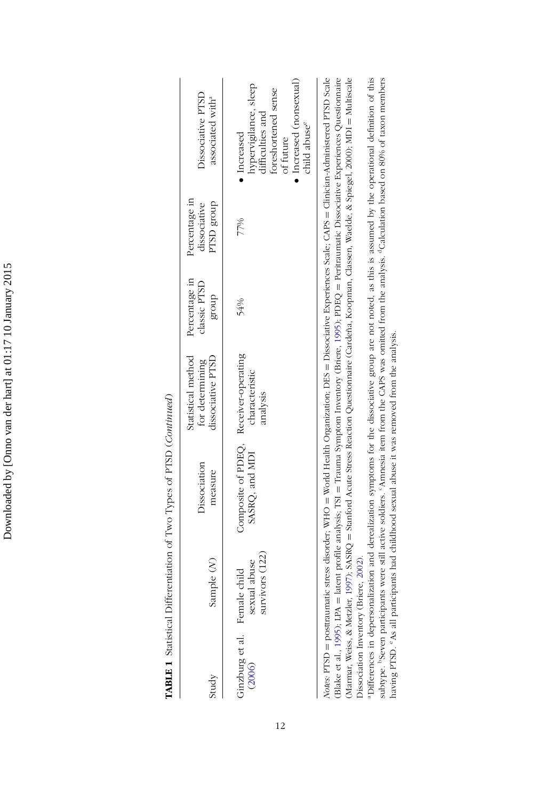Downloaded by [Onno van der hart] at 01:17 10 January 2015 Downloaded by [Onno van der hart] at 01:17 10 January 2015

| )                         |
|---------------------------|
| ֕                         |
|                           |
|                           |
|                           |
| Ó                         |
|                           |
|                           |
|                           |
|                           |
|                           |
|                           |
|                           |
|                           |
|                           |
|                           |
|                           |
| j<br>Ì                    |
| ֓֕֕֡                      |
|                           |
|                           |
|                           |
|                           |
| I                         |
|                           |
| l                         |
| ١                         |
|                           |
| $\ddot{\phantom{a}}$<br>l |
| ֕                         |
| l                         |
|                           |
|                           |
|                           |
|                           |
|                           |
| ı                         |
|                           |
| ı                         |
|                           |
| j                         |
|                           |
|                           |
|                           |
|                           |
|                           |
|                           |
|                           |
|                           |
|                           |
|                           |
|                           |
|                           |
|                           |
|                           |
| I                         |
|                           |
|                           |
|                           |
|                           |
|                           |
|                           |
| l<br>I                    |

| <b>Dissociative PTSD</b><br>associated with <sup>a</sup>   | Increased (nonsexual)<br>hypervigilance, sleep<br>difficulties and<br>'oreshortened sense<br>child abuse <sup>e</sup><br>Increased<br>of future |
|------------------------------------------------------------|-------------------------------------------------------------------------------------------------------------------------------------------------|
| Percentage in<br>PTSD group<br>dissociative                | 77%                                                                                                                                             |
| Percentage in<br>classic PTSD<br>dno.f8                    | 54%                                                                                                                                             |
| Statistical method<br>dissociative PTSD<br>for determining | characteristic<br>analysis                                                                                                                      |
| <b>Dissociation</b><br>measure                             | Composite of PDEQ, Receiver-operating<br>SASRQ, and MDI                                                                                         |
| Ş<br>Sample                                                | urvivors (122)<br>sexual abuse                                                                                                                  |
| study                                                      | Ginzburg et al. Female child<br>(2006) sexual abuse                                                                                             |

Notes: PTSD = posttraumatic stress disorder; WHO = World Health Organization; DES = Dissociative Experiences Scale; CAPS = Clinician-Administered PTSD Scale (Blake et al., 1995); LPA = latent profile analysis; TSI = Trauma Symptom Inventory (Briere, 1995); PDEQ = Peritraumatic Dissociative Experiences Questionnaire (Marmar, Weiss, & Metzler, 1997); SASRQ = Stanford Acute Stress Reaction Questionnaire (Cardeña, Koopman, Classen, Waelde, & Spiegel, 2000); MDI = Multiscale *Notes:* PTSD = posttraumatic stress disorder; WHO = World Health Organization; DES = Dissociative Experiences Scale; CAPS = Clinician-Administered PTSD Scale (Blake et al., [1995\)](#page-17-4); LPA = latent profile analysis; TSI = Trauma Symptom Inventory (Briere, [1995\)](#page-17-5); PDEQ = Peritraumatic Dissociative Experiences Questionnaire (Marmar, Weiss, & Metzler, [1997\)](#page-20-3); SASRQ = Stanford Acute Stress Reaction Questionnaire (Cardeña, Koopman, Classen, Waelde, & Spiegel, 2000); MDI = Multiscale Dissociation Inventory (Briere, 2002). Dissociation Inventory (Briere, [2002\)](#page-18-4).

"Differences in depersonalization and derealization symptoms for the dissociative group are not noted, as this is assumed by the operational definition of this subtype. "Seven participants were still active soldiers. "Annesia item from the CAPS was omitted from the analysis. "Calculation based on 80% of taxon members aDifferences in depersonalization and derealization symptoms for the dissociative group are not noted, as this is assumed by the operational definition of this subtype. <sup>b</sup>Seven participants were still active soldiers. <sup>c</sup>Amnesia item from the CAPS was omitted from the analysis. <sup>d</sup>Calculation based on 80% of taxon members having PTSD. "As all participants had childhood sexual abuse it was removed from the analysis. having PTSD. eAs all participants had childhood sexual abuse it was removed from the analysis.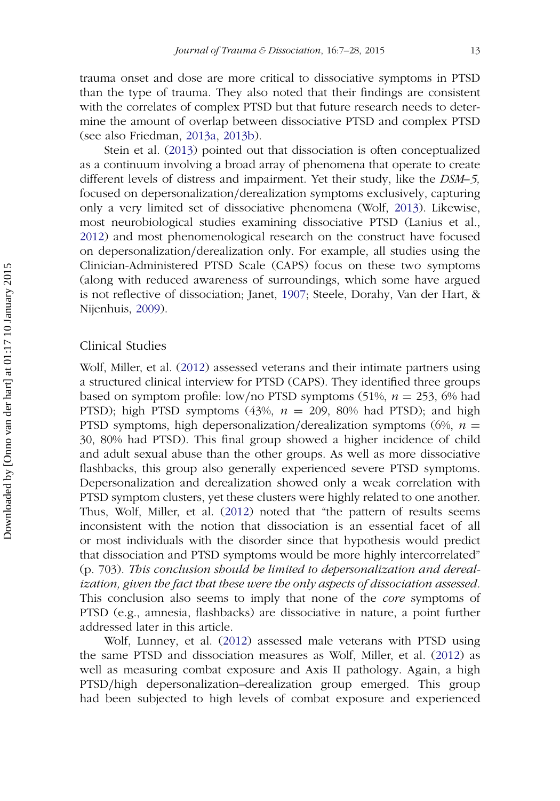trauma onset and dose are more critical to dissociative symptoms in PTSD than the type of trauma. They also noted that their findings are consistent with the correlates of complex PTSD but that future research needs to determine the amount of overlap between dissociative PTSD and complex PTSD (see also Friedman, [2013a,](#page-19-3) [2013b\)](#page-19-4).

Stein et al. [\(2013\)](#page-17-0) pointed out that dissociation is often conceptualized as a continuum involving a broad array of phenomena that operate to create different levels of distress and impairment. Yet their study, like the *DSM–5,* focused on depersonalization*/*derealization symptoms exclusively, capturing only a very limited set of dissociative phenomena (Wolf, [2013\)](#page-21-2). Likewise, most neurobiological studies examining dissociative PTSD (Lanius et al., [2012\)](#page-19-0) and most phenomenological research on the construct have focused on depersonalization*/*derealization only. For example, all studies using the Clinician-Administered PTSD Scale (CAPS) focus on these two symptoms (along with reduced awareness of surroundings, which some have argued is not reflective of dissociation; Janet, [1907;](#page-19-5) Steele, Dorahy, Van der Hart, & Nijenhuis, [2009\)](#page-20-4).

#### Clinical Studies

Wolf, Miller, et al. [\(2012\)](#page-21-0) assessed veterans and their intimate partners using a structured clinical interview for PTSD (CAPS). They identified three groups based on symptom profile: low*/*no PTSD symptoms (51%, *n* = 253, 6% had PTSD); high PTSD symptoms  $(43\%, n = 209, 80\%$  had PTSD); and high PTSD symptoms, high depersonalization*/*derealization symptoms (6%, *n* = 30, 80% had PTSD). This final group showed a higher incidence of child and adult sexual abuse than the other groups. As well as more dissociative flashbacks, this group also generally experienced severe PTSD symptoms. Depersonalization and derealization showed only a weak correlation with PTSD symptom clusters, yet these clusters were highly related to one another. Thus, Wolf, Miller, et al. [\(2012\)](#page-21-0) noted that "the pattern of results seems inconsistent with the notion that dissociation is an essential facet of all or most individuals with the disorder since that hypothesis would predict that dissociation and PTSD symptoms would be more highly intercorrelated" (p. 703). *This conclusion should be limited to depersonalization and derealization, given the fact that these were the only aspects of dissociation assessed.* This conclusion also seems to imply that none of the *core* symptoms of PTSD (e.g., amnesia, flashbacks) are dissociative in nature, a point further addressed later in this article.

Wolf, Lunney, et al. [\(2012\)](#page-21-4) assessed male veterans with PTSD using the same PTSD and dissociation measures as Wolf, Miller, et al. [\(2012\)](#page-21-0) as well as measuring combat exposure and Axis II pathology. Again, a high PTSD*/*high depersonalization–derealization group emerged. This group had been subjected to high levels of combat exposure and experienced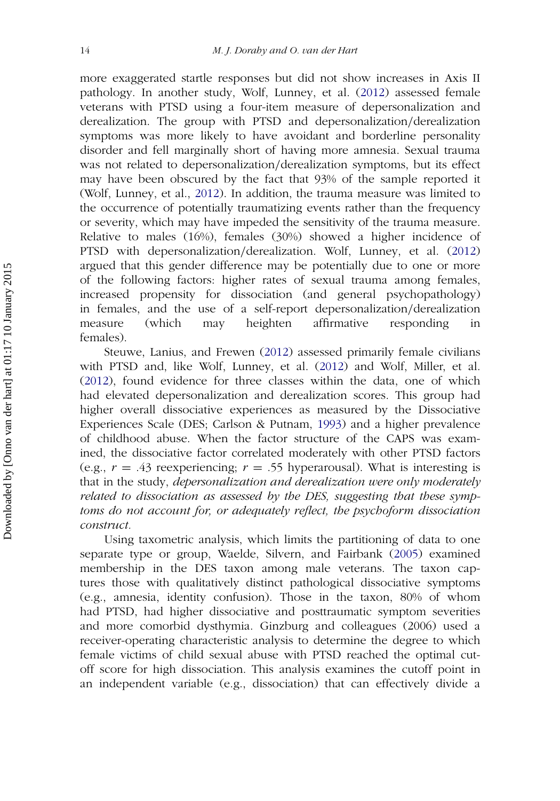more exaggerated startle responses but did not show increases in Axis II pathology. In another study, Wolf, Lunney, et al. [\(2012\)](#page-21-4) assessed female veterans with PTSD using a four-item measure of depersonalization and derealization. The group with PTSD and depersonalization*/*derealization symptoms was more likely to have avoidant and borderline personality disorder and fell marginally short of having more amnesia. Sexual trauma was not related to depersonalization*/*derealization symptoms, but its effect may have been obscured by the fact that 93% of the sample reported it (Wolf, Lunney, et al., [2012\)](#page-21-4). In addition, the trauma measure was limited to the occurrence of potentially traumatizing events rather than the frequency or severity, which may have impeded the sensitivity of the trauma measure. Relative to males (16%), females (30%) showed a higher incidence of PTSD with depersonalization*/*derealization. Wolf, Lunney, et al. [\(2012\)](#page-21-4) argued that this gender difference may be potentially due to one or more of the following factors: higher rates of sexual trauma among females, increased propensity for dissociation (and general psychopathology) in females, and the use of a self-report depersonalization*/*derealization measure (which may heighten affirmative responding in females).

Steuwe, Lanius, and Frewen [\(2012\)](#page-21-5) assessed primarily female civilians with PTSD and, like Wolf, Lunney, et al. [\(2012\)](#page-21-4) and Wolf, Miller, et al. [\(2012\)](#page-21-0), found evidence for three classes within the data, one of which had elevated depersonalization and derealization scores. This group had higher overall dissociative experiences as measured by the Dissociative Experiences Scale (DES; Carlson & Putnam, [1993\)](#page-18-5) and a higher prevalence of childhood abuse. When the factor structure of the CAPS was examined, the dissociative factor correlated moderately with other PTSD factors (e.g.,  $r = .43$  reexperiencing;  $r = .55$  hyperarousal). What is interesting is that in the study, *depersonalization and derealization were only moderately related to dissociation as assessed by the DES, suggesting that these symptoms do not account for, or adequately reflect, the psychoform dissociation construct.*

Using taxometric analysis, which limits the partitioning of data to one separate type or group, Waelde, Silvern, and Fairbank [\(2005\)](#page-21-6) examined membership in the DES taxon among male veterans. The taxon captures those with qualitatively distinct pathological dissociative symptoms (e.g., amnesia, identity confusion). Those in the taxon, 80% of whom had PTSD, had higher dissociative and posttraumatic symptom severities and more comorbid dysthymia. Ginzburg and colleagues (2006) used a receiver-operating characteristic analysis to determine the degree to which female victims of child sexual abuse with PTSD reached the optimal cutoff score for high dissociation. This analysis examines the cutoff point in an independent variable (e.g., dissociation) that can effectively divide a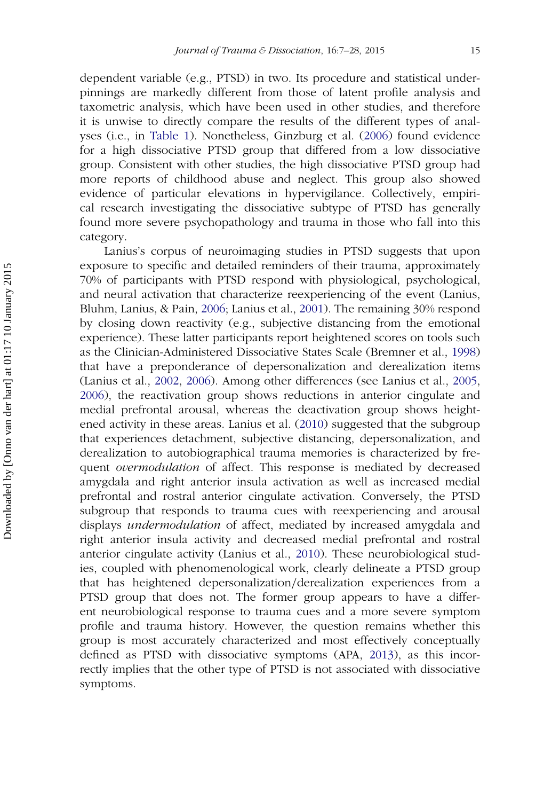dependent variable (e.g., PTSD) in two. Its procedure and statistical underpinnings are markedly different from those of latent profile analysis and taxometric analysis, which have been used in other studies, and therefore it is unwise to directly compare the results of the different types of analyses (i.e., in [Table 1\)](#page-3-0). Nonetheless, Ginzburg et al. [\(2006\)](#page-19-2) found evidence for a high dissociative PTSD group that differed from a low dissociative group. Consistent with other studies, the high dissociative PTSD group had more reports of childhood abuse and neglect. This group also showed evidence of particular elevations in hypervigilance. Collectively, empirical research investigating the dissociative subtype of PTSD has generally found more severe psychopathology and trauma in those who fall into this category.

Lanius's corpus of neuroimaging studies in PTSD suggests that upon exposure to specific and detailed reminders of their trauma, approximately 70% of participants with PTSD respond with physiological, psychological, and neural activation that characterize reexperiencing of the event (Lanius, Bluhm, Lanius, & Pain, [2006;](#page-19-6) Lanius et al., [2001\)](#page-20-5). The remaining 30% respond by closing down reactivity (e.g., subjective distancing from the emotional experience). These latter participants report heightened scores on tools such as the Clinician-Administered Dissociative States Scale (Bremner et al., [1998\)](#page-17-6) that have a preponderance of depersonalization and derealization items (Lanius et al., [2002,](#page-20-6) [2006\)](#page-19-2). Among other differences (see Lanius et al., [2005,](#page-19-7) [2006\)](#page-19-2), the reactivation group shows reductions in anterior cingulate and medial prefrontal arousal, whereas the deactivation group shows heightened activity in these areas. Lanius et al. [\(2010\)](#page-19-1) suggested that the subgroup that experiences detachment, subjective distancing, depersonalization, and derealization to autobiographical trauma memories is characterized by frequent *overmodulation* of affect. This response is mediated by decreased amygdala and right anterior insula activation as well as increased medial prefrontal and rostral anterior cingulate activation. Conversely, the PTSD subgroup that responds to trauma cues with reexperiencing and arousal displays *undermodulation* of affect, mediated by increased amygdala and right anterior insula activity and decreased medial prefrontal and rostral anterior cingulate activity (Lanius et al., [2010\)](#page-19-1). These neurobiological studies, coupled with phenomenological work, clearly delineate a PTSD group that has heightened depersonalization*/*derealization experiences from a PTSD group that does not. The former group appears to have a different neurobiological response to trauma cues and a more severe symptom profile and trauma history. However, the question remains whether this group is most accurately characterized and most effectively conceptually defined as PTSD with dissociative symptoms (APA, [2013\)](#page-17-0), as this incorrectly implies that the other type of PTSD is not associated with dissociative symptoms.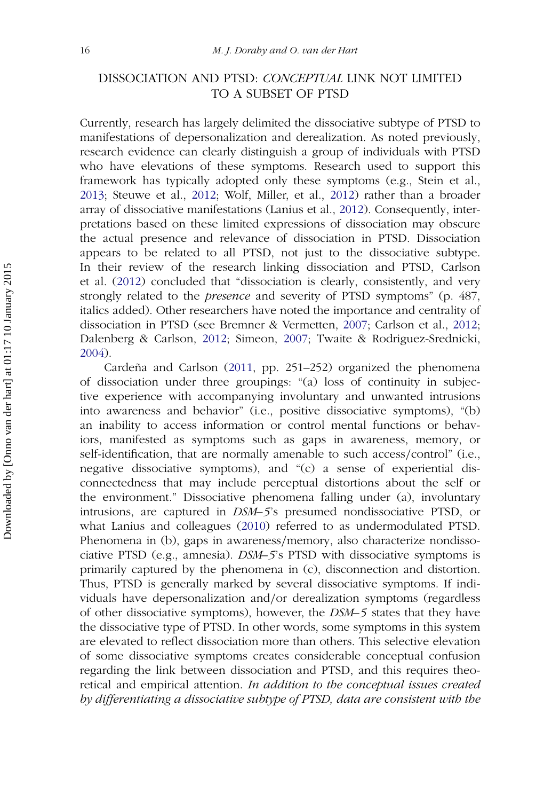## DISSOCIATION AND PTSD: *CONCEPTUAL* LINK NOT LIMITED TO A SUBSET OF PTSD

Currently, research has largely delimited the dissociative subtype of PTSD to manifestations of depersonalization and derealization. As noted previously, research evidence can clearly distinguish a group of individuals with PTSD who have elevations of these symptoms. Research used to support this framework has typically adopted only these symptoms (e.g., Stein et al., [2013;](#page-20-7) Steuwe et al., [2012;](#page-21-5) Wolf, Miller, et al., [2012\)](#page-21-0) rather than a broader array of dissociative manifestations (Lanius et al., [2012\)](#page-19-0). Consequently, interpretations based on these limited expressions of dissociation may obscure the actual presence and relevance of dissociation in PTSD. Dissociation appears to be related to all PTSD, not just to the dissociative subtype. In their review of the research linking dissociation and PTSD, Carlson et al. [\(2012\)](#page-18-1) concluded that "dissociation is clearly, consistently, and very strongly related to the *presence* and severity of PTSD symptoms" (p. 487, italics added). Other researchers have noted the importance and centrality of dissociation in PTSD (see Bremner & Vermetten, [2007;](#page-17-7) Carlson et al., [2012;](#page-18-1) Dalenberg & Carlson, [2012;](#page-18-0) Simeon, [2007;](#page-20-0) Twaite & Rodriguez-Srednicki, [2004\)](#page-21-7).

Cardeña and Carlson [\(2011,](#page-18-6) pp. 251–252) organized the phenomena of dissociation under three groupings: "(a) loss of continuity in subjective experience with accompanying involuntary and unwanted intrusions into awareness and behavior" (i.e., positive dissociative symptoms), "(b) an inability to access information or control mental functions or behaviors, manifested as symptoms such as gaps in awareness, memory, or self-identification, that are normally amenable to such access*/*control" (i.e., negative dissociative symptoms), and "(c) a sense of experiential disconnectedness that may include perceptual distortions about the self or the environment." Dissociative phenomena falling under (a), involuntary intrusions, are captured in *DSM–5*'s presumed nondissociative PTSD, or what Lanius and colleagues [\(2010\)](#page-19-1) referred to as undermodulated PTSD. Phenomena in (b), gaps in awareness*/*memory, also characterize nondissociative PTSD (e.g., amnesia). *DSM–5*'s PTSD with dissociative symptoms is primarily captured by the phenomena in (c), disconnection and distortion. Thus, PTSD is generally marked by several dissociative symptoms. If individuals have depersonalization and*/*or derealization symptoms (regardless of other dissociative symptoms), however, the *DSM–5* states that they have the dissociative type of PTSD. In other words, some symptoms in this system are elevated to reflect dissociation more than others. This selective elevation of some dissociative symptoms creates considerable conceptual confusion regarding the link between dissociation and PTSD, and this requires theoretical and empirical attention. *In addition to the conceptual issues created by differentiating a dissociative subtype of PTSD, data are consistent with the*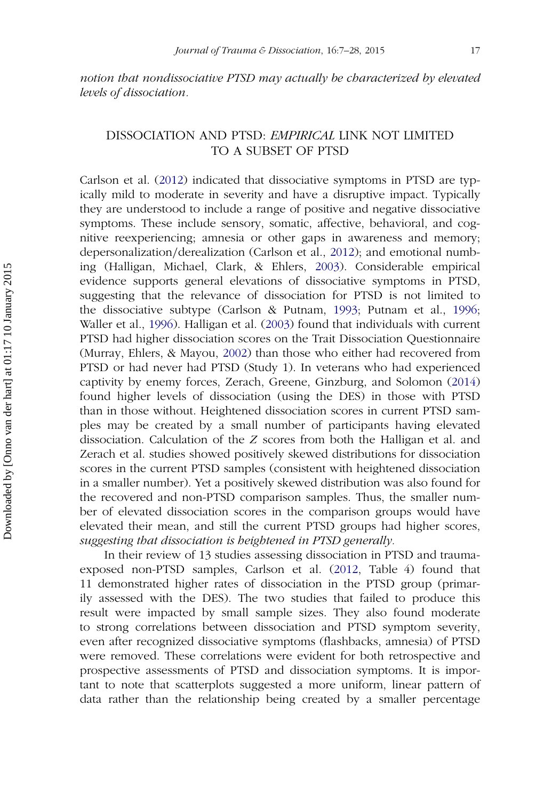*notion that nondissociative PTSD may actually be characterized by elevated levels of dissociation.*

## DISSOCIATION AND PTSD: *EMPIRICAL* LINK NOT LIMITED TO A SUBSET OF PTSD

Carlson et al. [\(2012\)](#page-18-1) indicated that dissociative symptoms in PTSD are typically mild to moderate in severity and have a disruptive impact. Typically they are understood to include a range of positive and negative dissociative symptoms. These include sensory, somatic, affective, behavioral, and cognitive reexperiencing; amnesia or other gaps in awareness and memory; depersonalization*/*derealization (Carlson et al., [2012\)](#page-18-1); and emotional numbing (Halligan, Michael, Clark, & Ehlers, [2003\)](#page-19-8). Considerable empirical evidence supports general elevations of dissociative symptoms in PTSD, suggesting that the relevance of dissociation for PTSD is not limited to the dissociative subtype (Carlson & Putnam, [1993;](#page-18-5) Putnam et al., [1996;](#page-20-2) Waller et al., [1996\)](#page-21-3). Halligan et al. [\(2003\)](#page-19-8) found that individuals with current PTSD had higher dissociation scores on the Trait Dissociation Questionnaire (Murray, Ehlers, & Mayou, [2002\)](#page-20-8) than those who either had recovered from PTSD or had never had PTSD (Study 1). In veterans who had experienced captivity by enemy forces, Zerach, Greene, Ginzburg, and Solomon [\(2014\)](#page-21-8) found higher levels of dissociation (using the DES) in those with PTSD than in those without. Heightened dissociation scores in current PTSD samples may be created by a small number of participants having elevated dissociation. Calculation of the *Z* scores from both the Halligan et al. and Zerach et al. studies showed positively skewed distributions for dissociation scores in the current PTSD samples (consistent with heightened dissociation in a smaller number). Yet a positively skewed distribution was also found for the recovered and non-PTSD comparison samples. Thus, the smaller number of elevated dissociation scores in the comparison groups would have elevated their mean, and still the current PTSD groups had higher scores, *suggesting that dissociation is heightened in PTSD generally.*

In their review of 13 studies assessing dissociation in PTSD and traumaexposed non-PTSD samples, Carlson et al. [\(2012,](#page-18-1) Table 4) found that 11 demonstrated higher rates of dissociation in the PTSD group (primarily assessed with the DES). The two studies that failed to produce this result were impacted by small sample sizes. They also found moderate to strong correlations between dissociation and PTSD symptom severity, even after recognized dissociative symptoms (flashbacks, amnesia) of PTSD were removed. These correlations were evident for both retrospective and prospective assessments of PTSD and dissociation symptoms. It is important to note that scatterplots suggested a more uniform, linear pattern of data rather than the relationship being created by a smaller percentage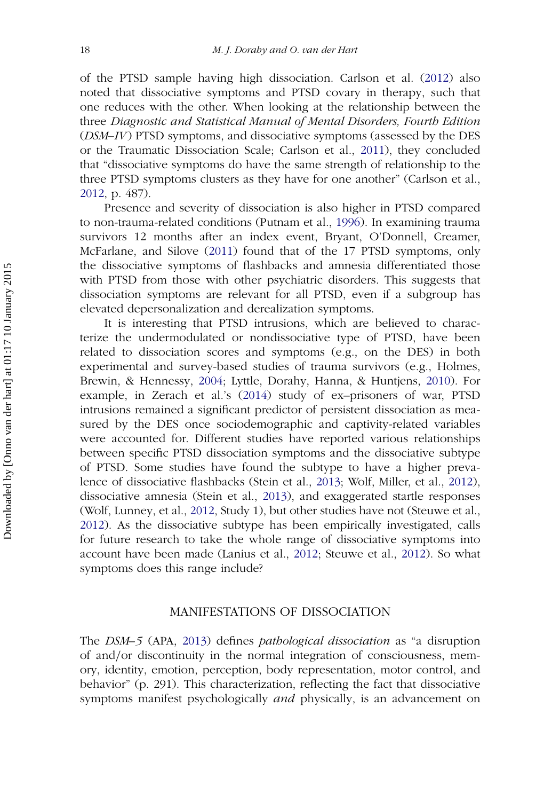of the PTSD sample having high dissociation. Carlson et al. [\(2012\)](#page-18-1) also noted that dissociative symptoms and PTSD covary in therapy, such that one reduces with the other. When looking at the relationship between the three *Diagnostic and Statistical Manual of Mental Disorders, Fourth Edition* (*DSM–IV*) PTSD symptoms, and dissociative symptoms (assessed by the DES or the Traumatic Dissociation Scale; Carlson et al., [2011\)](#page-18-7), they concluded that "dissociative symptoms do have the same strength of relationship to the three PTSD symptoms clusters as they have for one another" (Carlson et al., [2012,](#page-18-1) p. 487).

Presence and severity of dissociation is also higher in PTSD compared to non-trauma-related conditions (Putnam et al., [1996\)](#page-20-2). In examining trauma survivors 12 months after an index event, Bryant, O'Donnell, Creamer, McFarlane, and Silove [\(2011\)](#page-18-6) found that of the 17 PTSD symptoms, only the dissociative symptoms of flashbacks and amnesia differentiated those with PTSD from those with other psychiatric disorders. This suggests that dissociation symptoms are relevant for all PTSD, even if a subgroup has elevated depersonalization and derealization symptoms.

It is interesting that PTSD intrusions, which are believed to characterize the undermodulated or nondissociative type of PTSD, have been related to dissociation scores and symptoms (e.g., on the DES) in both experimental and survey-based studies of trauma survivors (e.g., Holmes, Brewin, & Hennessy, [2004;](#page-19-9) Lyttle, Dorahy, Hanna, & Huntjens, [2010\)](#page-20-9). For example, in Zerach et al.'s [\(2014\)](#page-21-8) study of ex–prisoners of war, PTSD intrusions remained a significant predictor of persistent dissociation as measured by the DES once sociodemographic and captivity-related variables were accounted for. Different studies have reported various relationships between specific PTSD dissociation symptoms and the dissociative subtype of PTSD. Some studies have found the subtype to have a higher prevalence of dissociative flashbacks (Stein et al., [2013;](#page-17-0) Wolf, Miller, et al., [2012\)](#page-21-0), dissociative amnesia (Stein et al., [2013\)](#page-17-0), and exaggerated startle responses (Wolf, Lunney, et al., [2012,](#page-21-4) Study 1), but other studies have not (Steuwe et al., [2012\)](#page-21-5). As the dissociative subtype has been empirically investigated, calls for future research to take the whole range of dissociative symptoms into account have been made (Lanius et al., [2012;](#page-19-0) Steuwe et al., [2012\)](#page-21-5). So what symptoms does this range include?

#### MANIFESTATIONS OF DISSOCIATION

The *DSM–5* (APA, [2013\)](#page-17-0) defines *pathological dissociation* as "a disruption of and*/*or discontinuity in the normal integration of consciousness, memory, identity, emotion, perception, body representation, motor control, and behavior" (p. 291). This characterization, reflecting the fact that dissociative symptoms manifest psychologically *and* physically, is an advancement on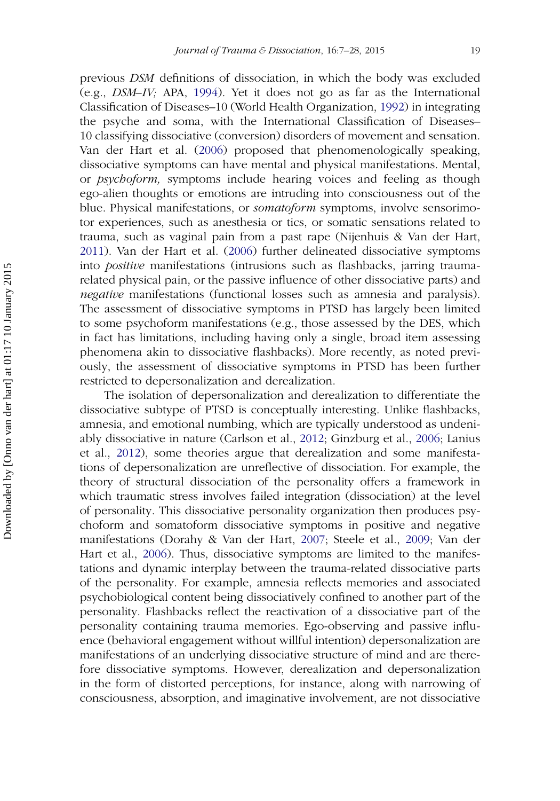previous *DSM* definitions of dissociation, in which the body was excluded (e.g., *DSM–IV;* APA, [1994\)](#page-17-8). Yet it does not go as far as the International Classification of Diseases–10 (World Health Organization, [1992\)](#page-21-9) in integrating the psyche and soma, with the International Classification of Diseases– 10 classifying dissociative (conversion) disorders of movement and sensation. Van der Hart et al. [\(2006\)](#page-21-1) proposed that phenomenologically speaking, dissociative symptoms can have mental and physical manifestations. Mental, or *psychoform,* symptoms include hearing voices and feeling as though ego-alien thoughts or emotions are intruding into consciousness out of the blue. Physical manifestations, or *somatoform* symptoms, involve sensorimotor experiences, such as anesthesia or tics, or somatic sensations related to trauma, such as vaginal pain from a past rape (Nijenhuis & Van der Hart, [2011\)](#page-20-10). Van der Hart et al. [\(2006\)](#page-21-1) further delineated dissociative symptoms into *positive* manifestations (intrusions such as flashbacks, jarring traumarelated physical pain, or the passive influence of other dissociative parts) and *negative* manifestations (functional losses such as amnesia and paralysis). The assessment of dissociative symptoms in PTSD has largely been limited to some psychoform manifestations (e.g., those assessed by the DES, which in fact has limitations, including having only a single, broad item assessing phenomena akin to dissociative flashbacks). More recently, as noted previously, the assessment of dissociative symptoms in PTSD has been further restricted to depersonalization and derealization.

The isolation of depersonalization and derealization to differentiate the dissociative subtype of PTSD is conceptually interesting. Unlike flashbacks, amnesia, and emotional numbing, which are typically understood as undeniably dissociative in nature (Carlson et al., [2012;](#page-18-1) Ginzburg et al., [2006;](#page-19-2) Lanius et al., [2012\)](#page-19-0), some theories argue that derealization and some manifestations of depersonalization are unreflective of dissociation. For example, the theory of structural dissociation of the personality offers a framework in which traumatic stress involves failed integration (dissociation) at the level of personality. This dissociative personality organization then produces psychoform and somatoform dissociative symptoms in positive and negative manifestations (Dorahy & Van der Hart, [2007;](#page-18-8) Steele et al., [2009;](#page-20-4) Van der Hart et al., [2006\)](#page-21-1). Thus, dissociative symptoms are limited to the manifestations and dynamic interplay between the trauma-related dissociative parts of the personality. For example, amnesia reflects memories and associated psychobiological content being dissociatively confined to another part of the personality. Flashbacks reflect the reactivation of a dissociative part of the personality containing trauma memories. Ego-observing and passive influence (behavioral engagement without willful intention) depersonalization are manifestations of an underlying dissociative structure of mind and are therefore dissociative symptoms. However, derealization and depersonalization in the form of distorted perceptions, for instance, along with narrowing of consciousness, absorption, and imaginative involvement, are not dissociative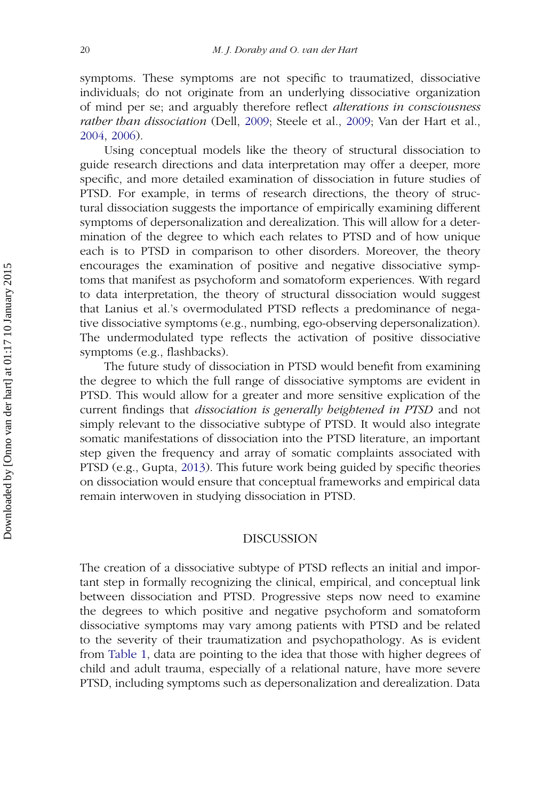symptoms. These symptoms are not specific to traumatized, dissociative individuals; do not originate from an underlying dissociative organization of mind per se; and arguably therefore reflect *alterations in consciousness rather than dissociation* (Dell, [2009;](#page-18-9) Steele et al., [2009;](#page-20-4) Van der Hart et al., [2004,](#page-19-9) [2006\)](#page-19-2).

Using conceptual models like the theory of structural dissociation to guide research directions and data interpretation may offer a deeper, more specific, and more detailed examination of dissociation in future studies of PTSD. For example, in terms of research directions, the theory of structural dissociation suggests the importance of empirically examining different symptoms of depersonalization and derealization. This will allow for a determination of the degree to which each relates to PTSD and of how unique each is to PTSD in comparison to other disorders. Moreover, the theory encourages the examination of positive and negative dissociative symptoms that manifest as psychoform and somatoform experiences. With regard to data interpretation, the theory of structural dissociation would suggest that Lanius et al.'s overmodulated PTSD reflects a predominance of negative dissociative symptoms (e.g., numbing, ego-observing depersonalization). The undermodulated type reflects the activation of positive dissociative symptoms (e.g., flashbacks).

The future study of dissociation in PTSD would benefit from examining the degree to which the full range of dissociative symptoms are evident in PTSD. This would allow for a greater and more sensitive explication of the current findings that *dissociation is generally heightened in PTSD* and not simply relevant to the dissociative subtype of PTSD. It would also integrate somatic manifestations of dissociation into the PTSD literature, an important step given the frequency and array of somatic complaints associated with PTSD (e.g., Gupta, [2013\)](#page-19-10). This future work being guided by specific theories on dissociation would ensure that conceptual frameworks and empirical data remain interwoven in studying dissociation in PTSD.

#### DISCUSSION

The creation of a dissociative subtype of PTSD reflects an initial and important step in formally recognizing the clinical, empirical, and conceptual link between dissociation and PTSD. Progressive steps now need to examine the degrees to which positive and negative psychoform and somatoform dissociative symptoms may vary among patients with PTSD and be related to the severity of their traumatization and psychopathology. As is evident from [Table 1,](#page-3-0) data are pointing to the idea that those with higher degrees of child and adult trauma, especially of a relational nature, have more severe PTSD, including symptoms such as depersonalization and derealization. Data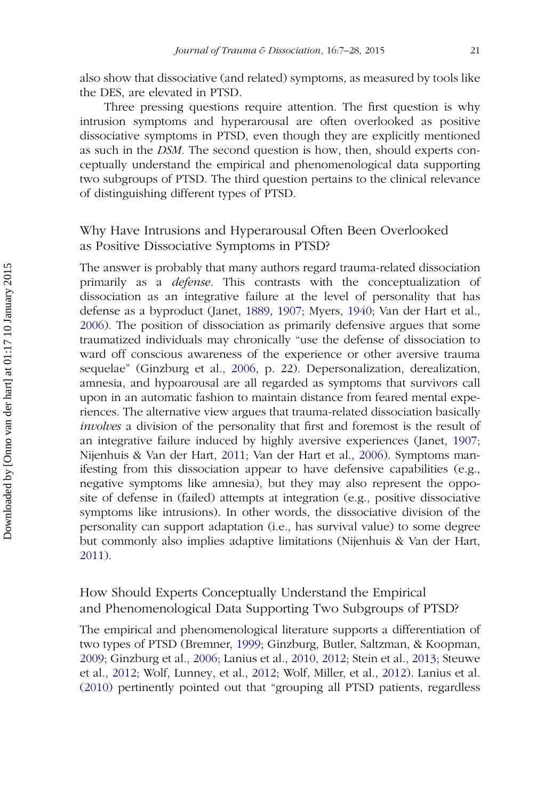also show that dissociative (and related) symptoms, as measured by tools like the DES, are elevated in PTSD.

Three pressing questions require attention. The first question is why intrusion symptoms and hyperarousal are often overlooked as positive dissociative symptoms in PTSD, even though they are explicitly mentioned as such in the *DSM.* The second question is how, then, should experts conceptually understand the empirical and phenomenological data supporting two subgroups of PTSD. The third question pertains to the clinical relevance of distinguishing different types of PTSD.

## Why Have Intrusions and Hyperarousal Often Been Overlooked as Positive Dissociative Symptoms in PTSD?

The answer is probably that many authors regard trauma-related dissociation primarily as a *defense.* This contrasts with the conceptualization of dissociation as an integrative failure at the level of personality that has defense as a byproduct (Janet, [1889,](#page-19-11) [1907;](#page-19-5) Myers, [1940;](#page-20-11) Van der Hart et al., [2006\)](#page-21-1). The position of dissociation as primarily defensive argues that some traumatized individuals may chronically "use the defense of dissociation to ward off conscious awareness of the experience or other aversive trauma sequelae" (Ginzburg et al., [2006,](#page-19-2) p. 22). Depersonalization, derealization, amnesia, and hypoarousal are all regarded as symptoms that survivors call upon in an automatic fashion to maintain distance from feared mental experiences. The alternative view argues that trauma-related dissociation basically *involves* a division of the personality that first and foremost is the result of an integrative failure induced by highly aversive experiences (Janet, [1907;](#page-19-5) Nijenhuis & Van der Hart, [2011;](#page-20-10) Van der Hart et al., [2006\)](#page-21-1). Symptoms manifesting from this dissociation appear to have defensive capabilities (e.g., negative symptoms like amnesia), but they may also represent the opposite of defense in (failed) attempts at integration (e.g., positive dissociative symptoms like intrusions). In other words, the dissociative division of the personality can support adaptation (i.e., has survival value) to some degree but commonly also implies adaptive limitations (Nijenhuis & Van der Hart, [2011\)](#page-20-10).

## How Should Experts Conceptually Understand the Empirical and Phenomenological Data Supporting Two Subgroups of PTSD?

The empirical and phenomenological literature supports a differentiation of two types of PTSD (Bremner, [1999;](#page-17-3) Ginzburg, Butler, Saltzman, & Koopman, [2009;](#page-19-12) Ginzburg et al., [2006;](#page-19-2) Lanius et al., [2010,](#page-19-1) [2012;](#page-18-1) Stein et al., [2013;](#page-17-0) Steuwe et al., [2012;](#page-21-5) Wolf, Lunney, et al., [2012;](#page-21-4) Wolf, Miller, et al., [2012\)](#page-21-0). Lanius et al. [\(2010\)](#page-19-1) pertinently pointed out that "grouping all PTSD patients, regardless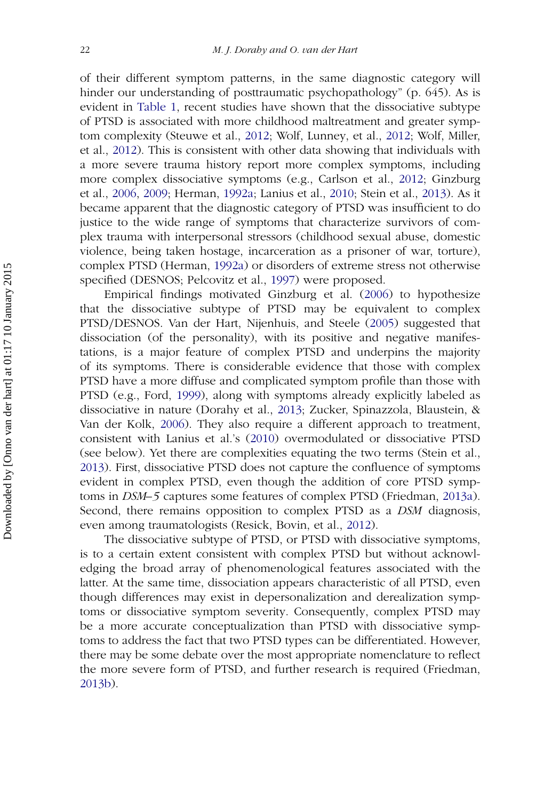of their different symptom patterns, in the same diagnostic category will hinder our understanding of posttraumatic psychopathology" (p. 645). As is evident in [Table 1,](#page-3-0) recent studies have shown that the dissociative subtype of PTSD is associated with more childhood maltreatment and greater symptom complexity (Steuwe et al., [2012;](#page-21-5) Wolf, Lunney, et al., [2012;](#page-21-4) Wolf, Miller, et al., [2012\)](#page-21-0). This is consistent with other data showing that individuals with a more severe trauma history report more complex symptoms, including more complex dissociative symptoms (e.g., Carlson et al., [2012;](#page-18-1) Ginzburg et al., [2006,](#page-19-2) [2009;](#page-18-10) Herman, [1992a;](#page-19-13) Lanius et al., [2010;](#page-19-1) Stein et al., [2013\)](#page-17-0). As it became apparent that the diagnostic category of PTSD was insufficient to do justice to the wide range of symptoms that characterize survivors of complex trauma with interpersonal stressors (childhood sexual abuse, domestic violence, being taken hostage, incarceration as a prisoner of war, torture), complex PTSD (Herman, [1992a\)](#page-19-13) or disorders of extreme stress not otherwise specified (DESNOS; Pelcovitz et al., [1997\)](#page-20-12) were proposed.

Empirical findings motivated Ginzburg et al. [\(2006\)](#page-19-2) to hypothesize that the dissociative subtype of PTSD may be equivalent to complex PTSD*/*DESNOS. Van der Hart, Nijenhuis, and Steele [\(2005\)](#page-21-10) suggested that dissociation (of the personality), with its positive and negative manifestations, is a major feature of complex PTSD and underpins the majority of its symptoms. There is considerable evidence that those with complex PTSD have a more diffuse and complicated symptom profile than those with PTSD (e.g., Ford, [1999\)](#page-19-14), along with symptoms already explicitly labeled as dissociative in nature (Dorahy et al., [2013;](#page-18-11) Zucker, Spinazzola, Blaustein, & Van der Kolk, [2006\)](#page-21-11). They also require a different approach to treatment, consistent with Lanius et al.'s [\(2010\)](#page-19-1) overmodulated or dissociative PTSD (see below). Yet there are complexities equating the two terms (Stein et al., [2013\)](#page-17-0). First, dissociative PTSD does not capture the confluence of symptoms evident in complex PTSD, even though the addition of core PTSD symptoms in *DSM–5* captures some features of complex PTSD (Friedman, [2013a\)](#page-19-3). Second, there remains opposition to complex PTSD as a *DSM* diagnosis, even among traumatologists (Resick, Bovin, et al., [2012\)](#page-20-13).

The dissociative subtype of PTSD, or PTSD with dissociative symptoms, is to a certain extent consistent with complex PTSD but without acknowledging the broad array of phenomenological features associated with the latter. At the same time, dissociation appears characteristic of all PTSD, even though differences may exist in depersonalization and derealization symptoms or dissociative symptom severity. Consequently, complex PTSD may be a more accurate conceptualization than PTSD with dissociative symptoms to address the fact that two PTSD types can be differentiated. However, there may be some debate over the most appropriate nomenclature to reflect the more severe form of PTSD, and further research is required (Friedman, [2013b\)](#page-19-4).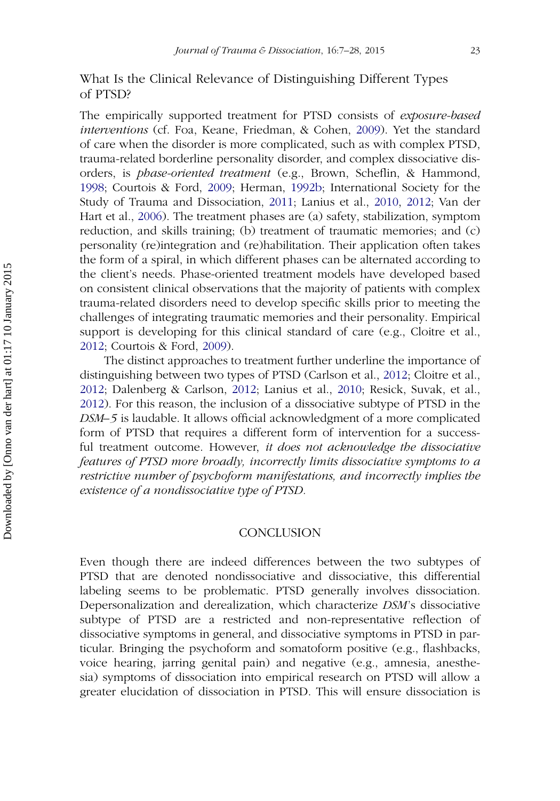## What Is the Clinical Relevance of Distinguishing Different Types of PTSD?

The empirically supported treatment for PTSD consists of *exposure-based interventions* (cf. Foa, Keane, Friedman, & Cohen, [2009\)](#page-18-10). Yet the standard of care when the disorder is more complicated, such as with complex PTSD, trauma-related borderline personality disorder, and complex dissociative disorders, is *phase-oriented treatment* (e.g., Brown, Scheflin, & Hammond, [1998;](#page-18-12) Courtois & Ford, [2009;](#page-18-10) Herman, [1992b;](#page-19-15) International Society for the Study of Trauma and Dissociation, [2011;](#page-19-16) Lanius et al., [2010,](#page-19-1) [2012;](#page-18-1) Van der Hart et al., [2006\)](#page-21-1). The treatment phases are (a) safety, stabilization, symptom reduction, and skills training; (b) treatment of traumatic memories; and (c) personality (re)integration and (re)habilitation. Their application often takes the form of a spiral, in which different phases can be alternated according to the client's needs. Phase-oriented treatment models have developed based on consistent clinical observations that the majority of patients with complex trauma-related disorders need to develop specific skills prior to meeting the challenges of integrating traumatic memories and their personality. Empirical support is developing for this clinical standard of care (e.g., Cloitre et al., [2012;](#page-18-3) Courtois & Ford, [2009\)](#page-18-10).

The distinct approaches to treatment further underline the importance of distinguishing between two types of PTSD (Carlson et al., [2012;](#page-18-1) Cloitre et al., [2012;](#page-18-3) Dalenberg & Carlson, [2012;](#page-18-0) Lanius et al., [2010;](#page-19-1) Resick, Suvak, et al., [2012\)](#page-20-13). For this reason, the inclusion of a dissociative subtype of PTSD in the *DSM–5* is laudable. It allows official acknowledgment of a more complicated form of PTSD that requires a different form of intervention for a successful treatment outcome. However, *it does not acknowledge the dissociative features of PTSD more broadly, incorrectly limits dissociative symptoms to a restrictive number of psychoform manifestations, and incorrectly implies the existence of a nondissociative type of PTSD.*

#### **CONCLUSION**

Even though there are indeed differences between the two subtypes of PTSD that are denoted nondissociative and dissociative, this differential labeling seems to be problematic. PTSD generally involves dissociation. Depersonalization and derealization, which characterize *DSM*'s dissociative subtype of PTSD are a restricted and non-representative reflection of dissociative symptoms in general, and dissociative symptoms in PTSD in particular. Bringing the psychoform and somatoform positive (e.g., flashbacks, voice hearing, jarring genital pain) and negative (e.g., amnesia, anesthesia) symptoms of dissociation into empirical research on PTSD will allow a greater elucidation of dissociation in PTSD. This will ensure dissociation is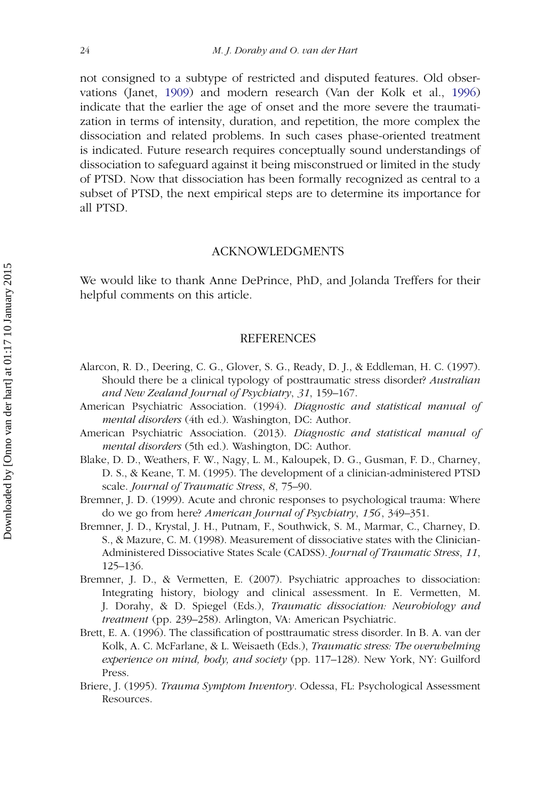not consigned to a subtype of restricted and disputed features. Old observations (Janet, [1909\)](#page-19-17) and modern research (Van der Kolk et al., [1996\)](#page-21-12) indicate that the earlier the age of onset and the more severe the traumatization in terms of intensity, duration, and repetition, the more complex the dissociation and related problems. In such cases phase-oriented treatment is indicated. Future research requires conceptually sound understandings of dissociation to safeguard against it being misconstrued or limited in the study of PTSD. Now that dissociation has been formally recognized as central to a subset of PTSD, the next empirical steps are to determine its importance for all PTSD.

#### ACKNOWLEDGMENTS

We would like to thank Anne DePrince, PhD, and Jolanda Treffers for their helpful comments on this article.

#### **REFERENCES**

- <span id="page-17-2"></span>Alarcon, R. D., Deering, C. G., Glover, S. G., Ready, D. J., & Eddleman, H. C. (1997). Should there be a clinical typology of posttraumatic stress disorder? *Australian and New Zealand Journal of Psychiatry*, *31*, 159–167.
- <span id="page-17-8"></span>American Psychiatric Association. (1994). *Diagnostic and statistical manual of mental disorders* (4th ed.). Washington, DC: Author.
- <span id="page-17-0"></span>American Psychiatric Association. (2013). *Diagnostic and statistical manual of mental disorders* (5th ed.). Washington, DC: Author.
- <span id="page-17-4"></span>Blake, D. D., Weathers, F. W., Nagy, L. M., Kaloupek, D. G., Gusman, F. D., Charney, D. S., & Keane, T. M. (1995). The development of a clinician-administered PTSD scale. *Journal of Traumatic Stress*, *8*, 75–90.
- <span id="page-17-3"></span>Bremner, J. D. (1999). Acute and chronic responses to psychological trauma: Where do we go from here? *American Journal of Psychiatry*, *156*, 349–351.
- <span id="page-17-6"></span>Bremner, J. D., Krystal, J. H., Putnam, F., Southwick, S. M., Marmar, C., Charney, D. S., & Mazure, C. M. (1998). Measurement of dissociative states with the Clinician-Administered Dissociative States Scale (CADSS). *Journal of Traumatic Stress*, *11*, 125–136.
- <span id="page-17-7"></span>Bremner, J. D., & Vermetten, E. (2007). Psychiatric approaches to dissociation: Integrating history, biology and clinical assessment. In E. Vermetten, M. J. Dorahy, & D. Spiegel (Eds.), *Traumatic dissociation: Neurobiology and treatment* (pp. 239–258). Arlington, VA: American Psychiatric.
- <span id="page-17-1"></span>Brett, E. A. (1996). The classification of posttraumatic stress disorder. In B. A. van der Kolk, A. C. McFarlane, & L. Weisaeth (Eds.), *Traumatic stress: The overwhelming experience on mind, body, and society* (pp. 117–128). New York, NY: Guilford Press.
- <span id="page-17-5"></span>Briere, J. (1995). *Trauma Symptom Inventory*. Odessa, FL: Psychological Assessment Resources.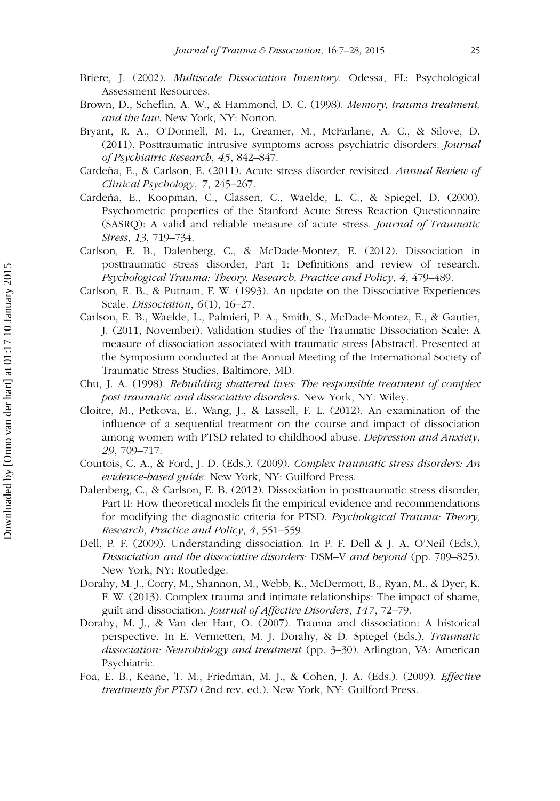- <span id="page-18-4"></span>Briere, J. (2002). *Multiscale Dissociation Inventory*. Odessa, FL: Psychological Assessment Resources.
- <span id="page-18-12"></span>Brown, D., Scheflin, A. W., & Hammond, D. C. (1998). *Memory, trauma treatment, and the law*. New York, NY: Norton.
- <span id="page-18-6"></span>Bryant, R. A., O'Donnell, M. L., Creamer, M., McFarlane, A. C., & Silove, D. (2011). Posttraumatic intrusive symptoms across psychiatric disorders. *Journal of Psychiatric Research*, *45*, 842–847.
- Cardeña, E., & Carlson, E. (2011). Acute stress disorder revisited. *Annual Review of Clinical Psychology*, *7*, 245–267.
- Cardeña, E., Koopman, C., Classen, C., Waelde, L. C., & Spiegel, D. (2000). Psychometric properties of the Stanford Acute Stress Reaction Questionnaire (SASRQ): A valid and reliable measure of acute stress. *Journal of Traumatic Stress*, *13*, 719–734.
- <span id="page-18-1"></span>Carlson, E. B., Dalenberg, C., & McDade-Montez, E. (2012). Dissociation in posttraumatic stress disorder, Part 1: Definitions and review of research. *Psychological Trauma: Theory, Research, Practice and Policy*, *4*, 479–489.
- <span id="page-18-5"></span>Carlson, E. B., & Putnam, F. W. (1993). An update on the Dissociative Experiences Scale. *Dissociation*, *6*(1), 16–27.
- <span id="page-18-7"></span>Carlson, E. B., Waelde, L., Palmieri, P. A., Smith, S., McDade-Montez, E., & Gautier, J. (2011, November). Validation studies of the Traumatic Dissociation Scale: A measure of dissociation associated with traumatic stress [Abstract]. Presented at the Symposium conducted at the Annual Meeting of the International Society of Traumatic Stress Studies, Baltimore, MD.
- <span id="page-18-2"></span>Chu, J. A. (1998). *Rebuilding shattered lives: The responsible treatment of complex post-traumatic and dissociative disorders*. New York, NY: Wiley.
- <span id="page-18-3"></span>Cloitre, M., Petkova, E., Wang, J., & Lassell, F. L. (2012). An examination of the influence of a sequential treatment on the course and impact of dissociation among women with PTSD related to childhood abuse. *Depression and Anxiety*, *29*, 709–717.
- <span id="page-18-10"></span>Courtois, C. A., & Ford, J. D. (Eds.). (2009). *Complex traumatic stress disorders: An evidence-based guide*. New York, NY: Guilford Press.
- <span id="page-18-0"></span>Dalenberg, C., & Carlson, E. B. (2012). Dissociation in posttraumatic stress disorder, Part II: How theoretical models fit the empirical evidence and recommendations for modifying the diagnostic criteria for PTSD. *Psychological Trauma: Theory, Research, Practice and Policy*, *4*, 551–559.
- <span id="page-18-9"></span>Dell, P. F. (2009). Understanding dissociation. In P. F. Dell & J. A. O'Neil (Eds.), *Dissociation and the dissociative disorders:* DSM–V *and beyond* (pp. 709–825). New York, NY: Routledge.
- <span id="page-18-11"></span>Dorahy, M. J., Corry, M., Shannon, M., Webb, K., McDermott, B., Ryan, M., & Dyer, K. F. W. (2013). Complex trauma and intimate relationships: The impact of shame, guilt and dissociation. *Journal of Affective Disorders*, *147*, 72–79.
- <span id="page-18-8"></span>Dorahy, M. J., & Van der Hart, O. (2007). Trauma and dissociation: A historical perspective. In E. Vermetten, M. J. Dorahy, & D. Spiegel (Eds.), *Traumatic dissociation: Neurobiology and treatment* (pp. 3–30). Arlington, VA: American Psychiatric.
- Foa, E. B., Keane, T. M., Friedman, M. J., & Cohen, J. A. (Eds.). (2009). *Effective treatments for PTSD* (2nd rev. ed.). New York, NY: Guilford Press.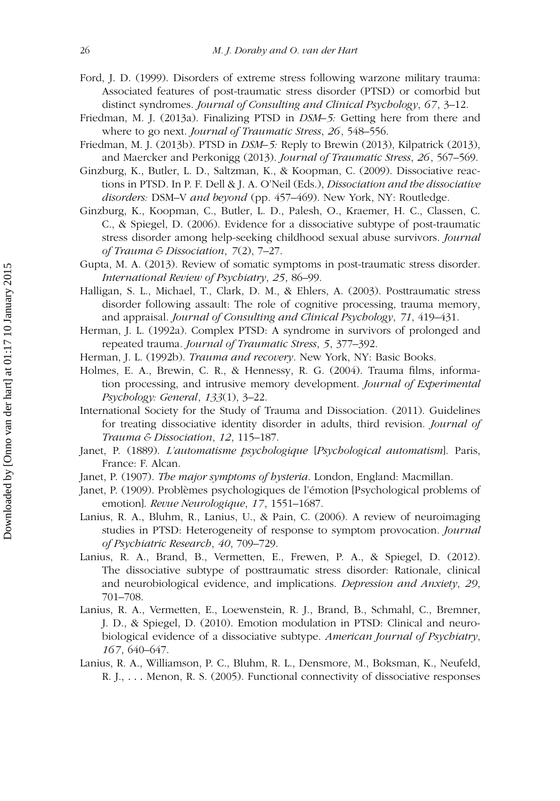- <span id="page-19-14"></span>Ford, J. D. (1999). Disorders of extreme stress following warzone military trauma: Associated features of post-traumatic stress disorder (PTSD) or comorbid but distinct syndromes. *Journal of Consulting and Clinical Psychology*, *67*, 3–12.
- <span id="page-19-3"></span>Friedman, M. J. (2013a). Finalizing PTSD in *DSM–5:* Getting here from there and where to go next. *Journal of Traumatic Stress*, *26*, 548–556.
- <span id="page-19-4"></span>Friedman, M. J. (2013b). PTSD in *DSM–5:* Reply to Brewin (2013), Kilpatrick (2013), and Maercker and Perkonigg (2013). *Journal of Traumatic Stress*, *26*, 567–569.
- <span id="page-19-12"></span>Ginzburg, K., Butler, L. D., Saltzman, K., & Koopman, C. (2009). Dissociative reactions in PTSD. In P. F. Dell & J. A. O'Neil (Eds.), *Dissociation and the dissociative disorders:* DSM–V *and beyond* (pp. 457–469). New York, NY: Routledge.
- <span id="page-19-2"></span>Ginzburg, K., Koopman, C., Butler, L. D., Palesh, O., Kraemer, H. C., Classen, C. C., & Spiegel, D. (2006). Evidence for a dissociative subtype of post-traumatic stress disorder among help-seeking childhood sexual abuse survivors. *Journal of Trauma & Dissociation*, *7*(2), 7–27.
- <span id="page-19-10"></span>Gupta, M. A. (2013). Review of somatic symptoms in post-traumatic stress disorder. *International Review of Psychiatry*, *25*, 86–99.
- <span id="page-19-8"></span>Halligan, S. L., Michael, T., Clark, D. M., & Ehlers, A. (2003). Posttraumatic stress disorder following assault: The role of cognitive processing, trauma memory, and appraisal. *Journal of Consulting and Clinical Psychology*, *71*, 419–431.
- <span id="page-19-13"></span>Herman, J. L. (1992a). Complex PTSD: A syndrome in survivors of prolonged and repeated trauma. *Journal of Traumatic Stress*, *5*, 377–392.
- <span id="page-19-15"></span>Herman, J. L. (1992b). *Trauma and recovery*. New York, NY: Basic Books.
- <span id="page-19-9"></span>Holmes, E. A., Brewin, C. R., & Hennessy, R. G. (2004). Trauma films, information processing, and intrusive memory development. *Journal of Experimental Psychology: General*, *133*(1), 3–22.
- <span id="page-19-16"></span>International Society for the Study of Trauma and Dissociation. (2011). Guidelines for treating dissociative identity disorder in adults, third revision. *Journal of Trauma & Dissociation*, *12*, 115–187.
- <span id="page-19-11"></span>Janet, P. (1889). *L'automatisme psychologique* [*Psychological automatism*]. Paris, France: F. Alcan.
- <span id="page-19-5"></span>Janet, P. (1907). *The major symptoms of hysteria*. London, England: Macmillan.
- <span id="page-19-17"></span>Janet, P. (1909). Problèmes psychologiques de l'émotion [Psychological problems of emotion]. *Revue Neurologique*, *17*, 1551–1687.
- <span id="page-19-6"></span>Lanius, R. A., Bluhm, R., Lanius, U., & Pain, C. (2006). A review of neuroimaging studies in PTSD: Heterogeneity of response to symptom provocation. *Journal of Psychiatric Research*, *40*, 709–729.
- <span id="page-19-0"></span>Lanius, R. A., Brand, B., Vermetten, E., Frewen, P. A., & Spiegel, D. (2012). The dissociative subtype of posttraumatic stress disorder: Rationale, clinical and neurobiological evidence, and implications. *Depression and Anxiety*, *29*, 701–708.
- <span id="page-19-1"></span>Lanius, R. A., Vermetten, E., Loewenstein, R. J., Brand, B., Schmahl, C., Bremner, J. D., & Spiegel, D. (2010). Emotion modulation in PTSD: Clinical and neurobiological evidence of a dissociative subtype. *American Journal of Psychiatry*, *167*, 640–647.
- <span id="page-19-7"></span>Lanius, R. A., Williamson, P. C., Bluhm, R. L., Densmore, M., Boksman, K., Neufeld, R. J., *...* Menon, R. S. (2005). Functional connectivity of dissociative responses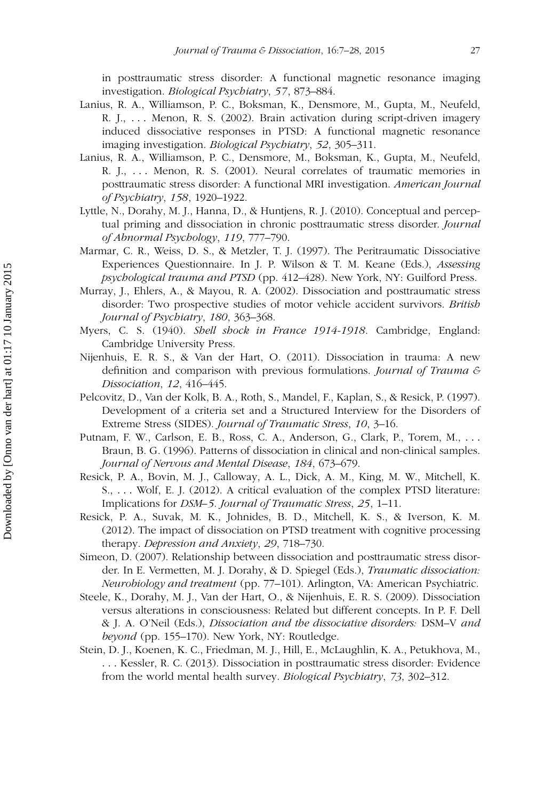in posttraumatic stress disorder: A functional magnetic resonance imaging investigation. *Biological Psychiatry*, *57*, 873–884.

- <span id="page-20-6"></span>Lanius, R. A., Williamson, P. C., Boksman, K., Densmore, M., Gupta, M., Neufeld, R. J., *...* Menon, R. S. (2002). Brain activation during script-driven imagery induced dissociative responses in PTSD: A functional magnetic resonance imaging investigation. *Biological Psychiatry*, *52*, 305–311.
- <span id="page-20-5"></span>Lanius, R. A., Williamson, P. C., Densmore, M., Boksman, K., Gupta, M., Neufeld, R. J., *...* Menon, R. S. (2001). Neural correlates of traumatic memories in posttraumatic stress disorder: A functional MRI investigation. *American Journal of Psychiatry*, *158*, 1920–1922.
- <span id="page-20-9"></span>Lyttle, N., Dorahy, M. J., Hanna, D., & Huntjens, R. J. (2010). Conceptual and perceptual priming and dissociation in chronic posttraumatic stress disorder. *Journal of Abnormal Psychology*, *119*, 777–790.
- <span id="page-20-3"></span>Marmar, C. R., Weiss, D. S., & Metzler, T. J. (1997). The Peritraumatic Dissociative Experiences Questionnaire. In J. P. Wilson & T. M. Keane (Eds.), *Assessing psychological trauma and PTSD* (pp. 412–428). New York, NY: Guilford Press.
- <span id="page-20-8"></span>Murray, J., Ehlers, A., & Mayou, R. A. (2002). Dissociation and posttraumatic stress disorder: Two prospective studies of motor vehicle accident survivors. *British Journal of Psychiatry*, *180*, 363–368.
- <span id="page-20-11"></span>Myers, C. S. (1940). *Shell shock in France 1914-1918*. Cambridge, England: Cambridge University Press.
- <span id="page-20-10"></span>Nijenhuis, E. R. S., & Van der Hart, O. (2011). Dissociation in trauma: A new definition and comparison with previous formulations. *Journal of Trauma & Dissociation*, *12*, 416–445.
- <span id="page-20-12"></span>Pelcovitz, D., Van der Kolk, B. A., Roth, S., Mandel, F., Kaplan, S., & Resick, P. (1997). Development of a criteria set and a Structured Interview for the Disorders of Extreme Stress (SIDES). *Journal of Traumatic Stress*, *10*, 3–16.
- <span id="page-20-2"></span>Putnam, F. W., Carlson, E. B., Ross, C. A., Anderson, G., Clark, P., Torem, M., *...* Braun, B. G. (1996). Patterns of dissociation in clinical and non-clinical samples. *Journal of Nervous and Mental Disease*, *184*, 673–679.
- <span id="page-20-13"></span>Resick, P. A., Bovin, M. J., Calloway, A. L., Dick, A. M., King, M. W., Mitchell, K. S., *...* Wolf, E. J. (2012). A critical evaluation of the complex PTSD literature: Implications for *DSM–5. Journal of Traumatic Stress*, *25*, 1–11.
- <span id="page-20-1"></span>Resick, P. A., Suvak, M. K., Johnides, B. D., Mitchell, K. S., & Iverson, K. M. (2012). The impact of dissociation on PTSD treatment with cognitive processing therapy. *Depression and Anxiety*, *29*, 718–730.
- <span id="page-20-0"></span>Simeon, D. (2007). Relationship between dissociation and posttraumatic stress disorder. In E. Vermetten, M. J. Dorahy, & D. Spiegel (Eds.), *Traumatic dissociation: Neurobiology and treatment* (pp. 77–101). Arlington, VA: American Psychiatric.
- <span id="page-20-4"></span>Steele, K., Dorahy, M. J., Van der Hart, O., & Nijenhuis, E. R. S. (2009). Dissociation versus alterations in consciousness: Related but different concepts. In P. F. Dell & J. A. O'Neil (Eds.), *Dissociation and the dissociative disorders:* DSM–V *and beyond* (pp. 155–170). New York, NY: Routledge.
- <span id="page-20-7"></span>Stein, D. J., Koenen, K. C., Friedman, M. J., Hill, E., McLaughlin, K. A., Petukhova, M., *...* Kessler, R. C. (2013). Dissociation in posttraumatic stress disorder: Evidence from the world mental health survey. *Biological Psychiatry*, *73*, 302–312.